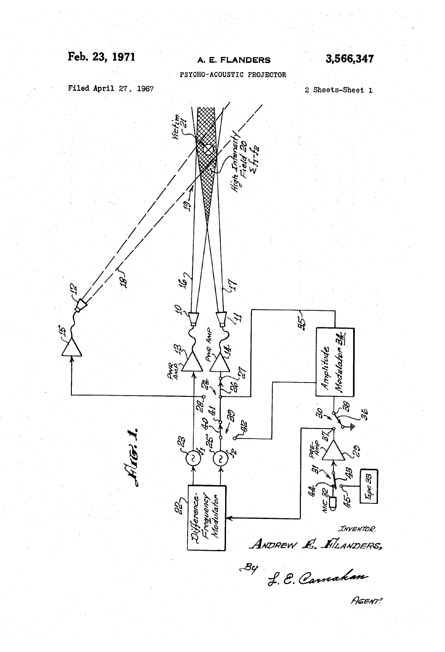## Feb. 23, 1971

Filed April 27, 1967

### A. E. FLANDERS 3,566,347

PSYCHO-ACOUSTIC PROJECTOR

2 Sheets-Sheet l



AGENT?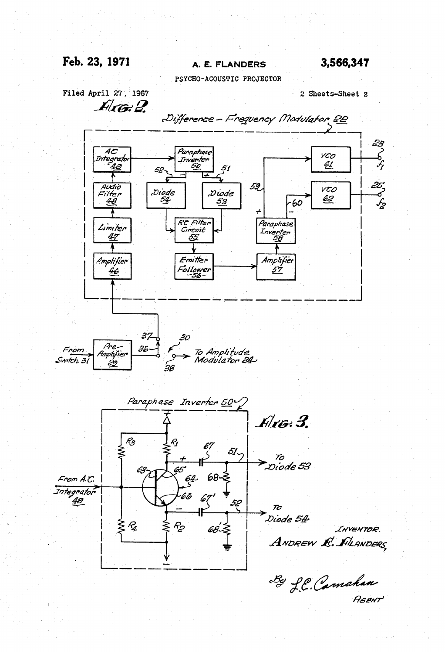# Feb. 23, 1971

Filed April 27, 1967

### A. E. FLANDERS

3,566,347

PSYCHO-ACOUSTIC PROJECTOR

2 Sheets-Sheet 2





By f.C. Camahan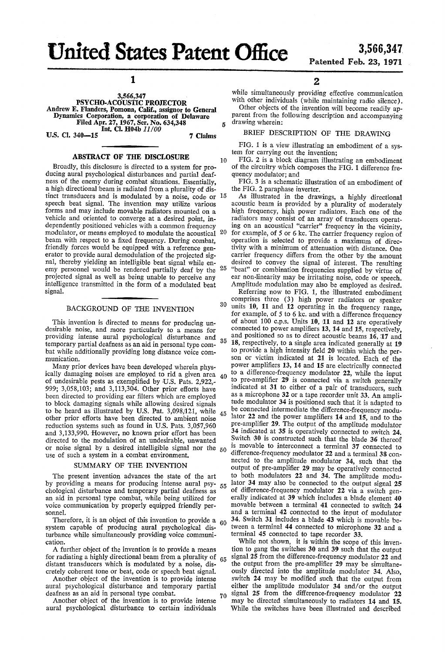United States Patent Office 3,566,347

10

 $\bar{5}$ 

1.

3,566,347<br>PSYCHO-ACOUSTIC PROJECTOR Andrew E. Flanders, Pomona, Calif., assignor to General Dynamics Corporation, a corporation of Delaware Filed Apr. 27, 1967, Ser. No. 634,348<br>Int, Cl. H04b 11/00<br>7 Claims 7

#### ABSTRACT OF THE DISCLOSURE

Broadly, this disclosure is directed to a system for producing aural psychological disturbances and partial deafness of the enemy during combat situations. Essentially, a high directional beam is radiated from a plurality of dis tinct transducers and is modulated by a noise, code or 15 speech beat signal. The invention may utilize various forms and may include movable radiators mounted on a vehicle and oriented to converge at a desired point, in-<br>dependently positioned vehicles with a common frequency dependently positioned vehicles with a common frequency modulator, or means employed to modulate the acoustical 20 beam with respect to a fixed frequency. During combat, friendly forces would be equipped with a reference generator to provide aural demodulation of the projected signal, thereby yielding an intelligible beat signal while enemy personnel would be rendered partially deaf by the <sup>25</sup> projected signal as well as being unable to perceive any intelligence transmitted in the form of a modulated beat signal.

#### BACKGROUND OF THE INVENTION

This invention is directed to means for producing un desirable noise, and more particularly to a means for providing intense aural psychological disturbance and temporary partial deafness as an aid in personal type com bat while additionally providing long distance voice com 35

munication.<br>Many prior devices have been developed wherein phys-Many prior devices have been developed wherein physically damaging noises are employed to rid a given area  $40$ of undesirable pests as exemplified by U.S. Pats. 2,922,- 999; 3,058,103; and 3,113,304. Other prior efforts have to block damaging signals while allowing desired signals to be heard as illustrated by U.S. Pat.  $3,098,121$ , while  $45$ other prior efforts have been directed to ambient noise reduction systems such as found in U.S. Pats. 3,057,960 and 3,133,990. However, no known prior effort has been directed to the modulation of an undesirable, unwanted or noise signal by a desired intelligible signal nor the  $50$ use of such a system in a combat environment.

#### SUMMARY OF THE INVENTION

The present invention advances the state of the art by providing a means for producing intense aural psy-chological disturbance and temporary partial deafness as an aid in personal type combat, while being utilized for voice communication by properly equipped friendly personnel. 55

Therefore, it is an object of this invention to provide a  $60$ <br>other conclusion function and revealed as  $3\frac{1}{2}$ system capable of producing aural psychological dis turbance while simultaneously providing voice communi cation.<br>A further object of the invention is to provide a means

A further object of the invention is to provide a means<br>for radiating a highly directional beam from a plurality of 65<br>distant transforms which is produkted by a point of it. distant transducers which is modulated by a noise, discretely coherent tone or beat, code or speech beat signal.

Another object of the invention is to provide intense aural psychological disturbance and temporary partial deafness as an aid in personal type combat.

Another object of the invention is to provide intense aural psychological disturbance to certain individuals 70 2

while simultaneously providing effective communication with other individuals (while maintaining radio silence).

Other objects of the invention will become readily apparent from the following description and accompanying drawing wherein:

#### BRIEF DESCRIPTION OF THE DRAWING

FIG. 1 is a view illustrating an embodiment of a sys tem for carrying out the invention;

FIG. 2 is a block diagram illustrating an embodiment of the circuitry which composes the FIG. 1 difference fre quency modulator; and

FIG. 3 is a schematic illustration of an embodiment of the FIG. 2 paraphase inverter.

As illustrated in the drawings, a highly directional high frequency, high power radiators. Each one of the radiators may consist of an array of transducers operating on an acoustical "carrier" frequency in the vicinity, for example, of 5 or 6 kc. The carrier frequency region of operation is selected to provide a maximum of direc tivity with a minimum of attenuation with distance. One carrier frequency differs from the other by the amount desired to convey the signal of interest. The resulting "beat" or combination frequencies supplied by virtue of ear non-linearity may be irritating noise, code or speech. Amplitude modulation may also be employed as desired.

comprises three  $(3)$  high power radiators or speaker 30 units 10, 11 and 12 operating in the frequency range, Referring now to FIG. 1, the illustrated embodiment for example, of 5 to 6 kc. and with a difference frequency<br>of about 100 c.p.s. Units 10, 11 and 12 are operatively<br>connected to power amplifiers 13, 14 and 15, respectively,<br>and positioned so as to direct acoustic beams 1 18, respectively, to a single area indicated generally at 19 to provide a high intensity field 20 within which the per son or victim indicated at 21 is located. Each of the power amplifiers 13, 14 and 15 are electrically connected to a difference-frequency modulator 22, while the input to pre-amplifier 29 is connected via a switch generally indicated at 31 to either of a pair of transducers, such as a microphone 32 or a tape recorder unit 33. An amplitude modulator 34 is positioned such that it is adapted to be connected intermediate the difference-frequency modulator 22 and the power amplifiers 14 and 15, and to the pre-amplifier 29. The output of the amplitude modulator 34 indicated at 35 is operatively connected to switch 24. Switch 30 is constructed such that the blade 36 thereof is movable to interconnect a terminal 37 connected to difference-frequency modulator 22 and a terminal 38 con nected to the amplitude modulator 34, such that the output of pre-amplifier 29 may be operatively connected to both modulators 22 and 34. The amplitude modulator 34 may also be connected to the output signal 25 of difference-frequency modulator 22 via a switch generally indicated at 39 which includes a blade element 40 movable between a terminal 41 connected to switch 24 and a terminal 42 connected to the input of modulator 34. Switch 31 includes a blade 43 which is movable be tween a terminal 44 connected to microphone 32 and a terminal 45 connected to tape recorder 33.

While not shown, it is within the scope of this invention to gang the switches 30 and 39 such that the output signal 25 from the difference-frequency modulator 22 and the output from the pre-amplifier 29 may be simultane-<br>ously directed into the amplitude modulator 34. Also, switch 24 may be modified such that the output from either the amplitude modulator 34 and/or the output signal 25 from the difference-frequency modulator 22 may be directed simultaneously to radiators 14 and 15. While the switches have been illustrated and described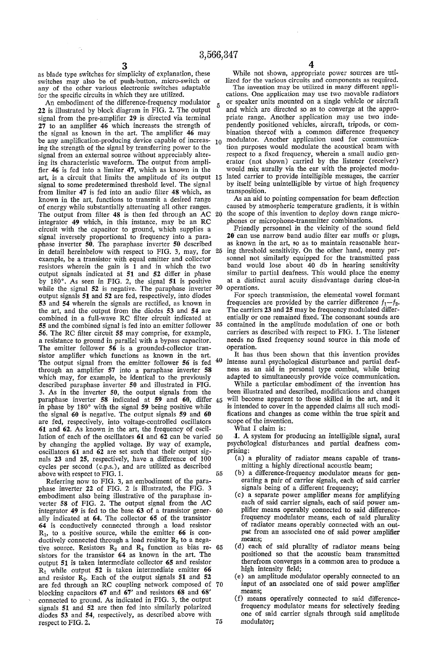as blade type switches for simplicity of explanation, these switches may also be of push-button, micro-switch or for the specific circuits in which they are utilized.

An embodiment of the difference-frequency modulator<br>22 is illustrated by block diagram in FIG. 2. The output  $\overline{5}$ signal from the pre-amplifier 29 is directed via terminal 27 to an amplifier 46 which increases the strength of the signal as known in the art. The amplifier 46 may the signal as known in the art. The amplifier 46 may be any amplification-producing device capable of increasing the strength of the signal by transferring power to the signal from an external source without appreciably altering its characteristic waveform. The output from ampliing its characteristic waveform. The output from ampli-<br>fier 46 is fed into a limiter 47, which as known in the<br>art, is a circuit that limits the amplitude of its output 15 signal to some predetermined threshold level. The signal from limiter 47 is fed into an audio filter 48 which, as known in the art, functions to transmit a desired range known in the art, functions to transmit a desired range of energy while substantially attenuating all other ranges.<br>The output from filter 48 is then fed through an AC 20 integrator 49 which, in this instance, may be an RC circuit with the capacitor to ground, which supplies a signal inversely proportional to frequency into a para-<br>phase inverter 50. The paraphase inverter 50 described in detail hereinbelow with respect to FIG. 3, may, for 25 example, be a transistor with equal emitter and collector resistors wherein the gain is 1 and in which the two output signals indicated at  $51$  and  $52$  differ in phase output signals indicated at 51 and 52 differ in phase by 180°. As seen in FIG. 2, the signal 51 is positive while the signal 52 is negative. The paraphase inverter 30 output signals 51 and 52 are fed, respectively, into diodes 53 and 54 wherein the signals are rectified, as known in the art, and the output from the diodes 53 and 54 are combined in a full-wave RC filter circuit indicated at 55 and the combined signal is fed into an emitter follower 56. The RC filter circuit 55 may comprise, for example, a resistance to ground in parallel with a bypass capacitor. The emitter follower  $56$  is a grounded-collector transistor amplifier which functions as known in the art. 40 The output signal from the emitter follower 56 is fed through an amplifier 57 into a paraphase inverter 58 which may, for example, be identical to the previously described paraphase inverter 50 and illustrated in FIG. 3. As in the inverter 50, the output signals from the paraphase inverter 58 indicated at 59 and 60, differ 45 in phase by  $180^\circ$  with the signal 59 being positive while the signal 60 is negative. The output signals 59 and 60 are fed, respectively, into voltage-controlled oscillators 61 and 62. As known in the art, the frequency of oscil lation of each of the oscillators 61 and 62 can be varied 50 by changing the applied voltage. By way of example, oscillators 61 and 62 are set such that their output signals 23 and 25, respectively, have a difference of 100 cycles per second (c.p.s.), and are utilized as described 55

above with respect to FIG. 1.<br>Referring now to FIG. 3, an embodiment of the paraphase inverter 22 of FIG. 2 is illustrated, the FIG. 3 embodiment also being illustrative of the paraphase in verter 58 of FIG. 2. The output signal from the AC ally indicated at 64. The collector 65 of the transistor 64 is conductively connected through a load resistor  $R_1$ , to a positive source, while the emitter 66 is conductively connected through a load resistor  $R_2$  to a negative source. Resistors  $R_3$  and  $R_4$  function as bias resistors for the transistor 64 as known in the art. The output 51 is taken intermediate collector 65 and resistor  $R_1$  while output 52 is taken intermediate emitter 66 and resistor  $\mathbb{R}_2$ . Each of the output signals 51 and 52 are fed through an RC coupling network composed of 70 blocking capacitors 67 and  $\overline{67}$  and resistors 68 and 68' connected to ground. As indicated in FIG. 3, the output signals 51 and 52 are then fed into similarly polarized diodes 53 and 54, respectively, as described above with respect to FIG. 2. integrator 49 is fed to the base 63 of a transistor gener- 60 65

While not shown, appropriate power sources are utilized for the various circuits and components as required.

The invention may be utilized in many different applications. One application may use two movable radiators or speaker units mounted on a single vehicle or aircraft priate range. Another application may use two independently positioned vehicles, aircraft, tripods, or com modulator. Another application used for communication purposes would modulate the acoustical beam with respect to a fixed frequency, wherein a small audio generator (not shown) carried by the listener (receiver) would mix aurally via the ear with the projected modulated carrier to provide intelligible messages, the carrier by itself being unintelligible by virtue of high frequency transposition.

As an aid to pointing compensation for beam deflection caused by atmospheric temperature gradients, it is within the scope of this invention to deploy down range micro phones or microphone-transmitter combinations.

Friendly personnel in the vicinity of the sound field 20 can use narrow band audio filter ear muffs or plugs, as known in the art, so as to maintain reasonable hearing threshold sensitivity. On the other hand, enemy personnel not similarly equipped for the transmitted pass<br>band would lose about 40 db in hearing sensitivity<br>similar to partial deafness. This would place the enemy<br>at a distinct aural acuity disadvantage during close-in operations.

For speech transmission, the elemental vowel formant frequencies are provided by the carrier difference  $f_1-f_2$ . The carriers 23 and 25 may be frequency modulated differ entially or one remained fixed. The consonant sounds are contained in the amplitude modulation of one or both carriers as described with respect to FIG. 1. The listener needs no fixed frequency sound source in this mode of operation.<br>It has thus been shown that this invention provides

intense aural psychological disturbance and partial deafness as an aid in personal type combat, while being adapted to simultaneously provide voice communication.

While a particular embodiment of the invention has been illustrated and described, modifications and changes will become apparent to those skilled in the art, and it is intended to cover in the appended claims all such modi fications and changes as come within the true spirit and scope of the invention.

What I claim is:

1. A system for producing an intelligible signal, aural psychological disturbances and partial deafness com prising:

- (a) a plurality of radiator means capable of trans
- 
- (b) a difference-frequency modulator means for generating a pair of carrier signals, each of said carrier signals being of a different frequency;<br>(c) a separate power amplifier means for amplifying each of said carrier sig of radiator means operably connected with an output from an associated one of said power amplifier
- means;<br>(d) each of said plurality of radiator means being positioned so that the acoustic beam transmitted therefrom converges in a common area to produce a high intensity field;<br>(e) an amplitude modulator operably connected to an
- input of an associated one of said power amplifier means;
- (f) means operatively connected to said difference frequency modulator means for selectively feeding one of said carrier signals through said amplitude modulator;

75